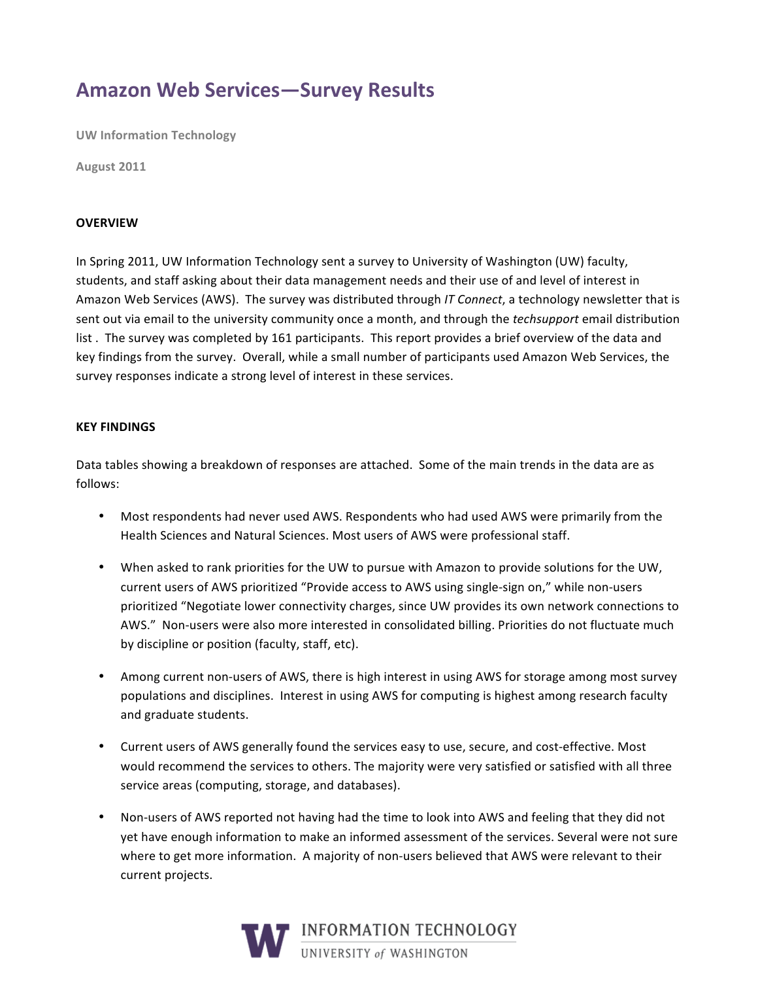## **Amazon Web Services-Survey Results**

**UW Information Technology** 

August 2011

#### **OVERVIEW**

In Spring 2011, UW Information Technology sent a survey to University of Washington (UW) faculty, students, and staff asking about their data management needs and their use of and level of interest in Amazon Web Services (AWS). The survey was distributed through IT Connect, a technology newsletter that is sent out via email to the university community once a month, and through the techsupport email distribution list. The survey was completed by 161 participants. This report provides a brief overview of the data and key findings from the survey. Overall, while a small number of participants used Amazon Web Services, the survey responses indicate a strong level of interest in these services.

#### **KEY FINDINGS**

Data tables showing a breakdown of responses are attached. Some of the main trends in the data are as follows:

- Most respondents had never used AWS. Respondents who had used AWS were primarily from the Health Sciences and Natural Sciences. Most users of AWS were professional staff.
- . When asked to rank priorities for the UW to pursue with Amazon to provide solutions for the UW, current users of AWS prioritized "Provide access to AWS using single-sign on," while non-users prioritized "Negotiate lower connectivity charges, since UW provides its own network connections to AWS." Non-users were also more interested in consolidated billing. Priorities do not fluctuate much by discipline or position (faculty, staff, etc).
- Among current non-users of AWS, there is high interest in using AWS for storage among most survey  $\bullet$ populations and disciplines. Interest in using AWS for computing is highest among research faculty and graduate students.
- Current users of AWS generally found the services easy to use, secure, and cost-effective. Most would recommend the services to others. The majority were very satisfied or satisfied with all three service areas (computing, storage, and databases).
- Non-users of AWS reported not having had the time to look into AWS and feeling that they did not yet have enough information to make an informed assessment of the services. Several were not sure where to get more information. A majority of non-users believed that AWS were relevant to their current projects.

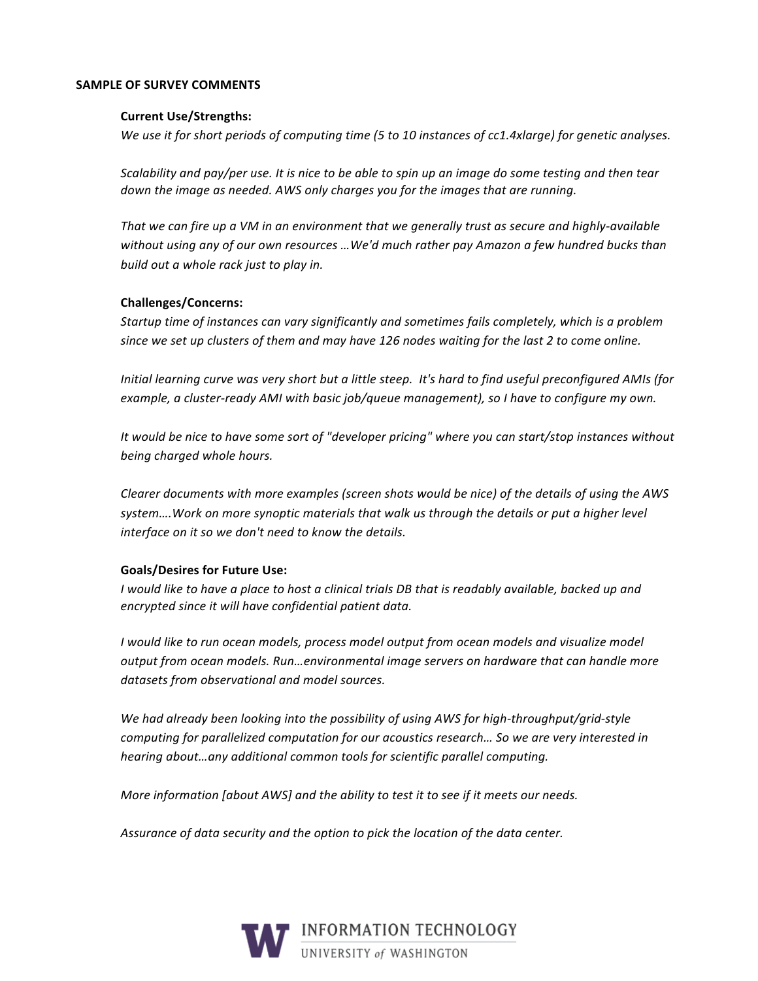#### **SAMPLE OF SURVEY COMMENTS**

#### **Current Use/Strengths:**

We use it for short periods of computing time (5 to 10 instances of cc1.4xlarge) for genetic analyses.

Scalability and pay/per use. It is nice to be able to spin up an image do some testing and then tear down the image as needed. AWS only charges you for the images that are running.

That we can fire up a VM in an environment that we generally trust as secure and highly-available without using any of our own resources ...We'd much rather pay Amazon a few hundred bucks than build out a whole rack just to play in.

#### **Challenges/Concerns:**

Startup time of instances can vary significantly and sometimes fails completely, which is a problem since we set up clusters of them and may have 126 nodes waiting for the last 2 to come online.

Initial learning curve was very short but a little steep. It's hard to find useful preconfigured AMIs (for example, a cluster-ready AMI with basic job/queue management), so I have to configure my own.

It would be nice to have some sort of "developer pricing" where you can start/stop instances without being charged whole hours.

Clearer documents with more examples (screen shots would be nice) of the details of using the AWS system....Work on more synoptic materials that walk us through the details or put a higher level interface on it so we don't need to know the details.

#### **Goals/Desires for Future Use:**

I would like to have a place to host a clinical trials DB that is readably available, backed up and encrypted since it will have confidential patient data.

I would like to run ocean models, process model output from ocean models and visualize model output from ocean models. Run...environmental image servers on hardware that can handle more datasets from observational and model sources.

We had already been looking into the possibility of using AWS for high-throughput/grid-style computing for parallelized computation for our acoustics research... So we are very interested in hearing about...any additional common tools for scientific parallel computing.

More information [about AWS] and the ability to test it to see if it meets our needs.

Assurance of data security and the option to pick the location of the data center.

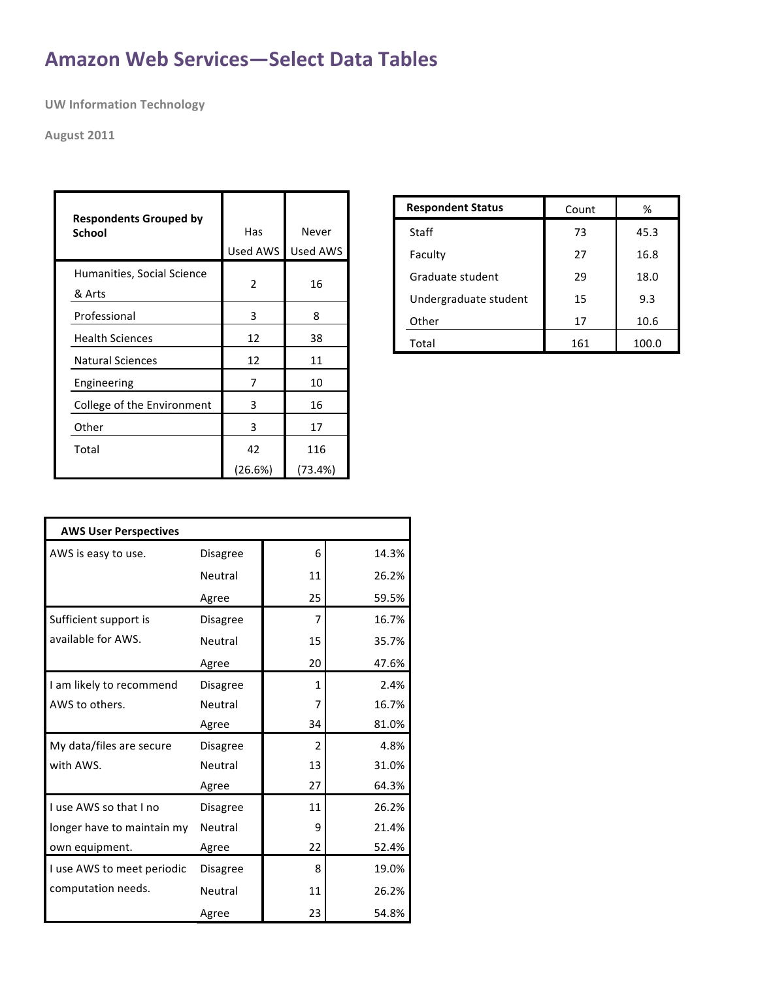# **Amazon Web Services-Select Data Tables**

**UW Information Technology** 

### **August 2011**

| <b>Respondents Grouped by</b><br><b>School</b> | Has<br>Used AWS | Never<br><b>Used AWS</b> |
|------------------------------------------------|-----------------|--------------------------|
| Humanities, Social Science<br>& Arts           | 2               | 16                       |
| Professional                                   | 3               | 8                        |
| <b>Health Sciences</b>                         | 12              | 38                       |
| <b>Natural Sciences</b>                        | 12              | 11                       |
| Engineering                                    | 7               | 10                       |
| College of the Environment                     | 3               | 16                       |
| Other                                          | 3               | 17                       |
| Total                                          | 42              | 116                      |
|                                                | (26.6%)         | (73.4%)                  |

| <b>Respondent Status</b> | Count | %     |
|--------------------------|-------|-------|
| Staff                    | 73    | 45.3  |
| Faculty                  | 27    | 16.8  |
| Graduate student         | 29    | 18.0  |
| Undergraduate student    | 15    | 9.3   |
| Other                    | 17    | 10.6  |
| Total                    | 161   | 100.0 |

| <b>AWS User Perspectives</b> |                 |               |       |
|------------------------------|-----------------|---------------|-------|
| AWS is easy to use.          | <b>Disagree</b> | 6             | 14.3% |
|                              | Neutral         | 11            | 26.2% |
|                              | Agree           | 25            | 59.5% |
| Sufficient support is        | <b>Disagree</b> | 7             | 16.7% |
| available for AWS.           | Neutral         | 15            | 35.7% |
|                              | Agree           | 20            | 47.6% |
| I am likely to recommend     | <b>Disagree</b> | 1             | 2.4%  |
| AWS to others.               | Neutral         | 7             | 16.7% |
|                              | Agree           | 34            | 81.0% |
| My data/files are secure     | <b>Disagree</b> | $\mathcal{P}$ | 4.8%  |
| with AWS.                    | Neutral         | 13            | 31.0% |
|                              | Agree           | 27            | 64.3% |
| I use AWS so that I no       | <b>Disagree</b> | 11            | 26.2% |
| longer have to maintain my   | Neutral         | 9             | 21.4% |
| own equipment.               | Agree           | 22            | 52.4% |
| I use AWS to meet periodic   | <b>Disagree</b> | 8             | 19.0% |
| computation needs.           | Neutral         | 11            | 26.2% |
|                              | Agree           | 23            | 54.8% |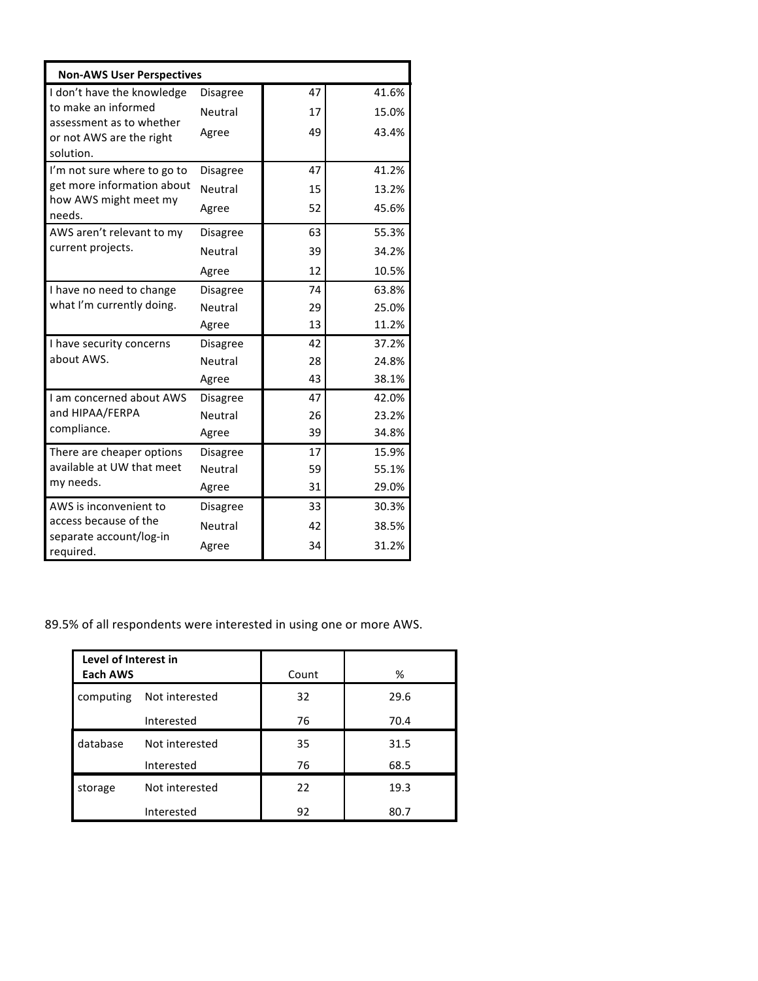| <b>Non-AWS User Perspectives</b>      |                 |    |       |
|---------------------------------------|-----------------|----|-------|
| I don't have the knowledge            | Disagree        | 47 | 41.6% |
| to make an informed                   | Neutral         | 17 | 15.0% |
| assessment as to whether              | Agree           | 49 | 43.4% |
| or not AWS are the right<br>solution. |                 |    |       |
| I'm not sure where to go to           | Disagree        | 47 | 41.2% |
| get more information about            | Neutral         | 15 | 13.2% |
| how AWS might meet my                 | Agree           | 52 | 45.6% |
| needs.                                |                 |    |       |
| AWS aren't relevant to my             | Disagree        | 63 | 55.3% |
| current projects.                     | Neutral         | 39 | 34.2% |
|                                       | Agree           | 12 | 10.5% |
| I have no need to change              | Disagree        | 74 | 63.8% |
| what I'm currently doing.             | Neutral         | 29 | 25.0% |
|                                       | Agree           | 13 | 11.2% |
| I have security concerns              | Disagree        | 42 | 37.2% |
| about AWS.                            | Neutral         | 28 | 24.8% |
|                                       | Agree           | 43 | 38.1% |
| I am concerned about AWS              | Disagree        | 47 | 42.0% |
| and HIPAA/FERPA                       | Neutral         | 26 | 23.2% |
| compliance.                           | Agree           | 39 | 34.8% |
| There are cheaper options             | <b>Disagree</b> | 17 | 15.9% |
| available at UW that meet             | Neutral         | 59 | 55.1% |
| my needs.                             | Agree           | 31 | 29.0% |
| AWS is inconvenient to                | <b>Disagree</b> | 33 | 30.3% |
| access because of the                 | Neutral         | 42 | 38.5% |
| separate account/log-in<br>required.  | Agree           | 34 | 31.2% |

## 89.5% of all respondents were interested in using one or more AWS.

| Level of Interest in<br>Each AWS |                | Count | %    |
|----------------------------------|----------------|-------|------|
| computing                        | Not interested | 32    | 29.6 |
|                                  | Interested     | 76    | 70.4 |
| database                         | Not interested | 35    | 31.5 |
|                                  | Interested     | 76    | 68.5 |
| storage                          | Not interested | 22    | 19.3 |
|                                  | Interested     | 92    | 80.7 |